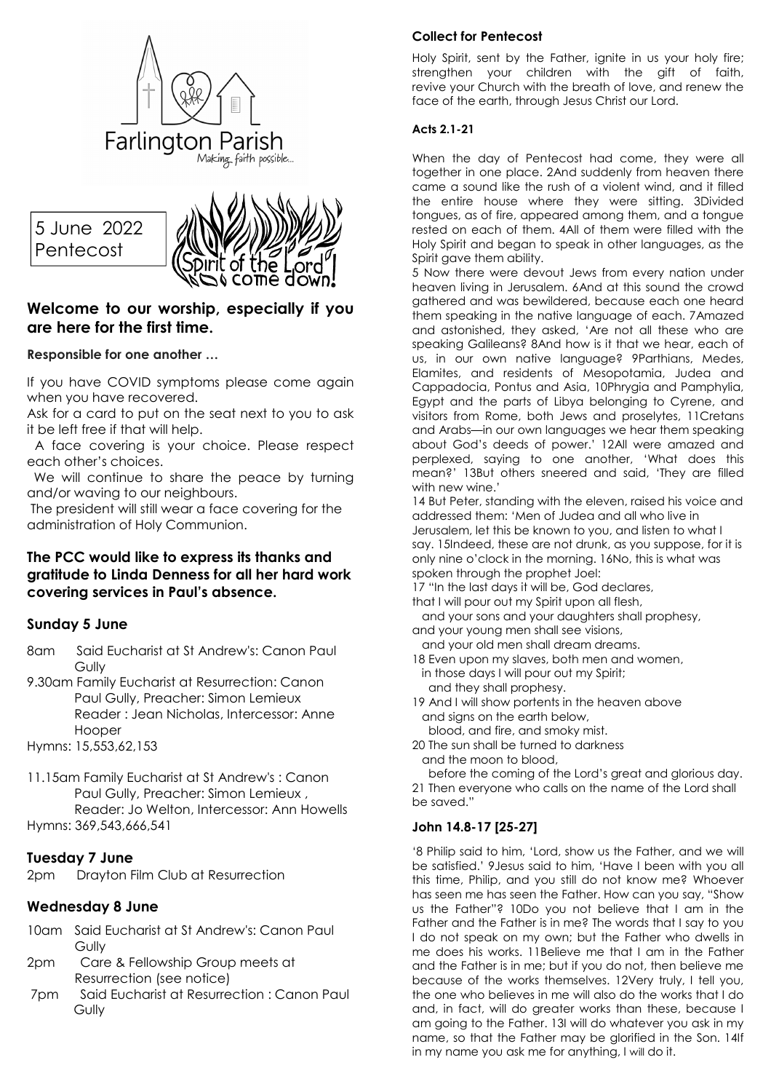

5 June 2022 Pentecost



# **Welcome to our worship, especially if you are here for the first time.**

## **Responsible for one another …**

If you have COVID symptoms please come again when you have recovered.

Ask for a card to put on the seat next to you to ask it be left free if that will help.

 A face covering is your choice. Please respect each other's choices.

We will continue to share the peace by turning and/or waving to our neighbours.

 The president will still wear a face covering for the administration of Holy Communion.

## **The PCC would like to express its thanks and gratitude to Linda Denness for all her hard work covering services in Paul's absence.**

# **Sunday 5 June**

- 8am Said Eucharist at St Andrew's: Canon Paul Gully
- 9.30am Family Eucharist at Resurrection: Canon Paul Gully, Preacher: Simon Lemieux Reader : Jean Nicholas, Intercessor: Anne Hooper

Hymns: 15,553,62,153

11.15am Family Eucharist at St Andrew's : Canon Paul Gully, Preacher: Simon Lemieux , Reader: Jo Welton, Intercessor: Ann Howells Hymns: 369,543,666,541

# **Tuesday 7 June**

2pm Drayton Film Club at Resurrection

## **Wednesday 8 June**

- 10am Said Eucharist at St Andrew's: Canon Paul **Gully**
- 2pm Care & Fellowship Group meets at Resurrection (see notice)
- 7pm Said Eucharist at Resurrection : Canon Paul **Gully**

#### **Collect for Pentecost**

Holy Spirit, sent by the Father, ignite in us your holy fire; strengthen your children with the gift of faith, revive your Church with the breath of love, and renew the face of the earth, through Jesus Christ our Lord.

#### **Acts 2.1-21**

When the day of Pentecost had come, they were all together in one place. 2And suddenly from heaven there came a sound like the rush of a violent wind, and it filled the entire house where they were sitting. 3Divided tongues, as of fire, appeared among them, and a tongue rested on each of them. 4All of them were filled with the Holy Spirit and began to speak in other languages, as the Spirit gave them ability.

5 Now there were devout Jews from every nation under heaven living in Jerusalem. 6And at this sound the crowd gathered and was bewildered, because each one heard them speaking in the native language of each. 7Amazed and astonished, they asked, 'Are not all these who are speaking Galileans? 8And how is it that we hear, each of us, in our own native language? 9Parthians, Medes, Elamites, and residents of Mesopotamia, Judea and Cappadocia, Pontus and Asia, 10Phrygia and Pamphylia, Egypt and the parts of Libya belonging to Cyrene, and visitors from Rome, both Jews and proselytes, 11Cretans and Arabs—in our own languages we hear them speaking about God's deeds of power.' 12All were amazed and perplexed, saying to one another, 'What does this mean?' 13But others sneered and said, 'They are filled with new wine.'

14 But Peter, standing with the eleven, raised his voice and addressed them: 'Men of Judea and all who live in

Jerusalem, let this be known to you, and listen to what I say. 15Indeed, these are not drunk, as you suppose, for it is only nine o'clock in the morning. 16No, this is what was spoken through the prophet Joel:

17 "In the last days it will be, God declares,

that I will pour out my Spirit upon all flesh,

 and your sons and your daughters shall prophesy, and your young men shall see visions,

 and your old men shall dream dreams. 18 Even upon my slaves, both men and women,

- in those days I will pour out my Spirit; and they shall prophesy.
- 19 And I will show portents in the heaven above and signs on the earth below, blood, and fire, and smoky mist.
- 20 The sun shall be turned to darkness and the moon to blood,

 before the coming of the Lord's great and glorious day. 21 Then everyone who calls on the name of the Lord shall be saved."

## **John 14.8-17 [25-27]**

'8 Philip said to him, 'Lord, show us the Father, and we will be satisfied.' 9Jesus said to him, 'Have I been with you all this time, Philip, and you still do not know me? Whoever has seen me has seen the Father. How can you say, "Show us the Father"? 10Do you not believe that I am in the Father and the Father is in me? The words that I say to you I do not speak on my own; but the Father who dwells in me does his works. 11Believe me that I am in the Father and the Father is in me; but if you do not, then believe me because of the works themselves. 12Very truly, I tell you, the one who believes in me will also do the works that I do and, in fact, will do greater works than these, because I am going to the Father. 13I will do whatever you ask in my name, so that the Father may be glorified in the Son. 14If in my name you ask me for anything, I will do it.